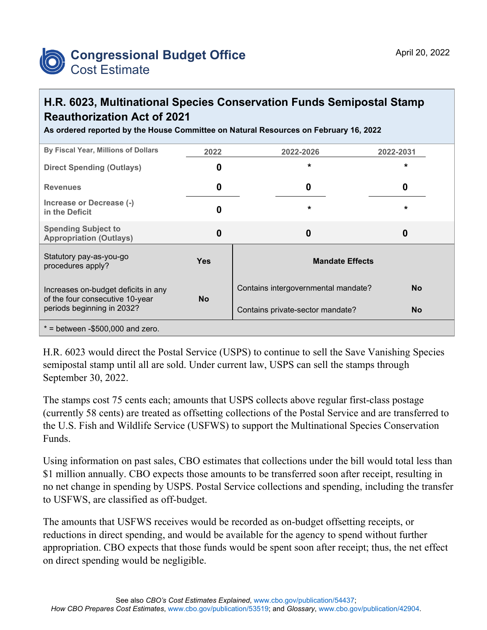

## **H.R. 6023, Multinational Species Conservation Funds Semipostal Stamp Reauthorization Act of 2021**

**As ordered reported by the House Committee on Natural Resources on February 16, 2022**

| By Fiscal Year, Millions of Dollars                                                                  | 2022       | 2022-2026                           | 2022-2031 |
|------------------------------------------------------------------------------------------------------|------------|-------------------------------------|-----------|
| <b>Direct Spending (Outlays)</b>                                                                     | O          | $\star$                             | $\star$   |
| <b>Revenues</b>                                                                                      | 0          | 0                                   | 0         |
| Increase or Decrease (-)<br>in the Deficit                                                           | 0          | $\star$                             | *         |
| <b>Spending Subject to</b><br><b>Appropriation (Outlays)</b>                                         | 0          | $\boldsymbol{0}$                    | 0         |
| Statutory pay-as-you-go<br>procedures apply?                                                         | <b>Yes</b> | <b>Mandate Effects</b>              |           |
| Increases on-budget deficits in any<br>of the four consecutive 10-year<br>periods beginning in 2032? | <b>No</b>  | Contains intergovernmental mandate? | <b>No</b> |
|                                                                                                      |            | Contains private-sector mandate?    | <b>No</b> |
| $*$ = between -\$500,000 and zero.                                                                   |            |                                     |           |

H.R. 6023 would direct the Postal Service (USPS) to continue to sell the Save Vanishing Species semipostal stamp until all are sold. Under current law, USPS can sell the stamps through September 30, 2022.

The stamps cost 75 cents each; amounts that USPS collects above regular first-class postage (currently 58 cents) are treated as offsetting collections of the Postal Service and are transferred to the U.S. Fish and Wildlife Service (USFWS) to support the Multinational Species Conservation Funds.

Using information on past sales, CBO estimates that collections under the bill would total less than \$1 million annually. CBO expects those amounts to be transferred soon after receipt, resulting in no net change in spending by USPS. Postal Service collections and spending, including the transfer to USFWS, are classified as off-budget.

The amounts that USFWS receives would be recorded as on-budget offsetting receipts, or reductions in direct spending, and would be available for the agency to spend without further appropriation. CBO expects that those funds would be spent soon after receipt; thus, the net effect on direct spending would be negligible.